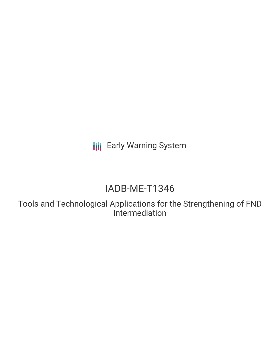**III** Early Warning System

# IADB-ME-T1346

Tools and Technological Applications for the Strengthening of FND Intermediation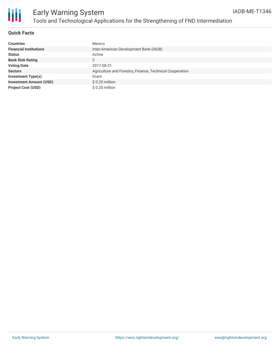

#### **Quick Facts**

| <b>Countries</b>               | Mexico                                                   |
|--------------------------------|----------------------------------------------------------|
| <b>Financial Institutions</b>  | Inter-American Development Bank (IADB)                   |
| <b>Status</b>                  | Active                                                   |
| <b>Bank Risk Rating</b>        | C                                                        |
| <b>Voting Date</b>             | 2017-08-21                                               |
| <b>Sectors</b>                 | Agriculture and Forestry, Finance, Technical Cooperation |
| <b>Investment Type(s)</b>      | Grant                                                    |
| <b>Investment Amount (USD)</b> | $$0.20$ million                                          |
| <b>Project Cost (USD)</b>      | \$0.20 million                                           |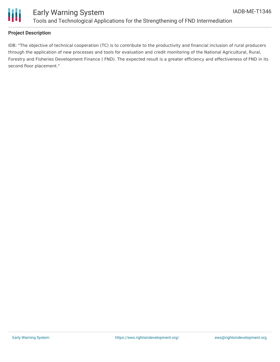

### Early Warning System Tools and Technological Applications for the Strengthening of FND Intermediation

#### **Project Description**

IDB: "The objective of technical cooperation (TC) is to contribute to the productivity and financial inclusion of rural producers through the application of new processes and tools for evaluation and credit monitoring of the National Agricultural, Rural, Forestry and Fisheries Development Finance ( FND). The expected result is a greater efficiency and effectiveness of FND in its second floor placement."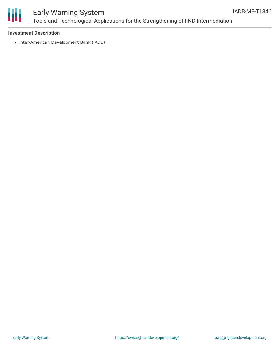

## Early Warning System Tools and Technological Applications for the Strengthening of FND Intermediation

#### **Investment Description**

• Inter-American Development Bank (IADB)